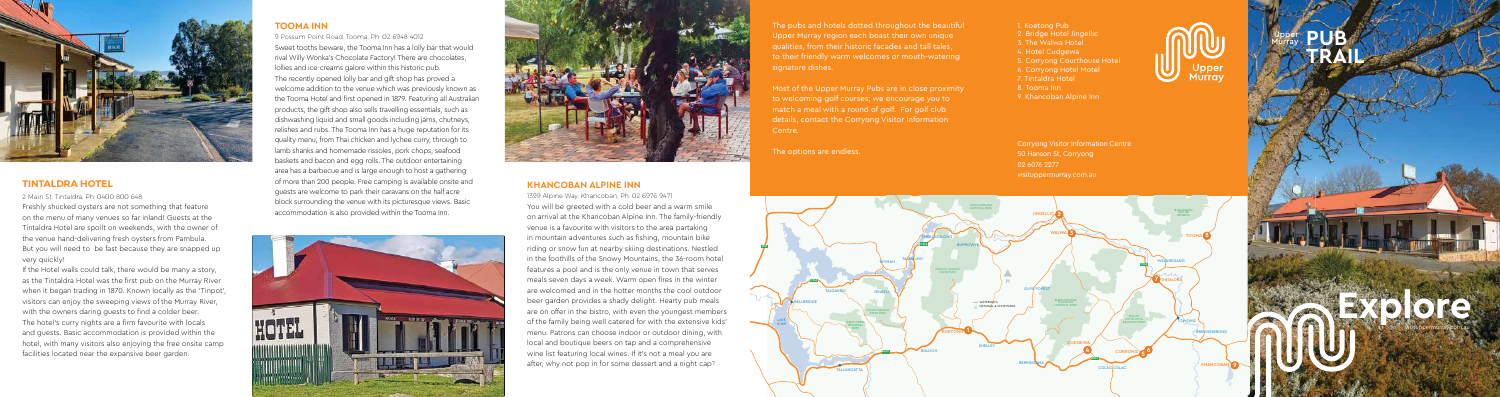**Explore**

visituppermurray.com.au

### **KHANCOBAN ALPINE INN**

1399 Alpine Way, Khancoban, Ph: 02 6976 9471 You will be greeted with a cold beer and a warm smile on arrival at the Khancoban Alpine Inn. The family-friendly venue is a favourite with visitors to the area partaking in mountain adventures such as fishing, mountain bike riding or snow fun at nearby skiing destinations. Nestled in the foothills of the Snowy Mountains, the 36-room hotel features a pool and is the only venue in town that serves meals seven days a week. Warm open fires in the winter are welcomed and in the hotter months the cool outdoor beer garden provides a shady delight. Hearty pub meals are on offer in the bistro, with even the youngest members of the family being well catered for with the extensive kids' menu. Patrons can choose indoor or outdoor dining, with local and boutique beers on tap and a comprehensive wine list featuring local wines. If it's not a meal you are after, why not pop in for some dessert and a night cap?

# **TOOMA INN**

9 Possum Point Road, Tooma, Ph: 02 6948 4012 Sweet tooths beware, the Tooma Inn has a lolly bar that would rival Willy Wonka's Chocolate Factory! There are chocolates, lollies and ice-creams galore within this historic pub. The recently opened lolly bar and gift shop has proved a welcome addition to the venue which was previously known as the Tooma Hotel and first opened in 1879. Featuring all Australian products, the gift shop also sells travelling essentials, such as dishwashing liquid and small goods including jams, chutneys, relishes and rubs. The Tooma Inn has a huge reputation for its quality menu, from Thai chicken and lychee curry, through to lamb shanks and homemade rissoles, pork chops, seafood baskets and bacon and egg rolls. The outdoor entertaining area has a barbecue and is large enough to host a gathering of more than 200 people. Free camping is available onsite and guests are welcome to park their caravans on the half acre block surrounding the venue with its picturesque views. Basic accommodation is also provided within the Tooma Inn.





**PUB TRAIL** Upper Murray



# **TINTALDRA HOTEL**

2 Main St, Tintaldra, Ph: 0400 800 648

Freshly shucked oysters are not something that feature on the menu of many venues so far inland! Guests at the Tintaldra Hotel are spoilt on weekends, with the owner of the venue hand-delivering fresh oysters from Pambula. But you will need to be fast because they are snapped up very quickly!

If the Hotel walls could talk, there would be many a story, as the Tintaldra Hotel was the first pub on the Murray River when it began trading in 1870. Known locally as the 'Tinpot', visitors can enjoy the sweeping views of the Murray River, with the owners daring guests to find a colder beer. The hotel's curry nights are a firm favourite with locals and guests. Basic accommodation is provided within the hotel, with many visitors also enjoying the free onsite camp facilities located near the expansive beer garden.

The pubs and hotels dotted throughout the beautiful Upper Murray region each boast their own unique qualities, from their historic facades and tall tales, to their friendly warm welcomes or mouth-watering signature dishes.

Most of the Upper Murray Pubs are in close proximity to welcoming golf courses; we encourage you to match a meal with a round of golf. For golf club details, contact the Corryong Visitor Information

# Centre.

The options are endless.

1. Koetong Pub 2. Bridge Hotel Jingellic 3. The Walwa Hotel 4. Hotel Cudgewa 5. Corryong Courthouse Hotel 6. Corryong Hotel Motel 7. Tintaldra Hotel 8. Tooma Inn 9. Khancoban Alpine Inn





M31

Corryong Visitor Information Centre 50 Hanson St, Corryong 02 6076 2277 visituppermurray.com.au